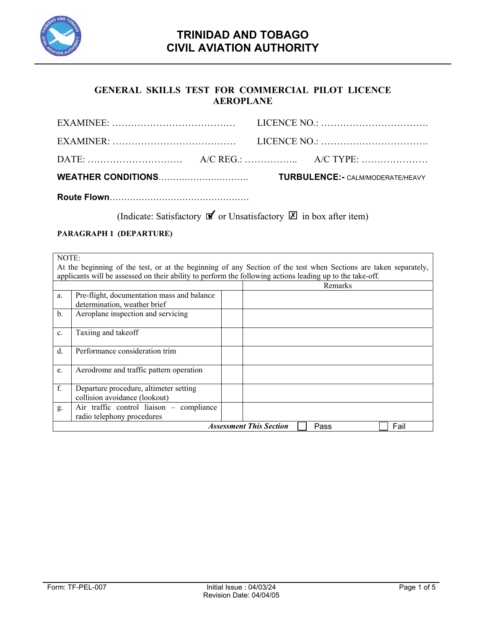

## **GENERAL SKILLS TEST FOR COMMERCIAL PILOT LICENCE AEROPLANE**

|  | $A/C REG$ : $A/C REG$ : $A/C TYPE$ : $A/C TYPE$ : $A/C TYPE$ |
|--|--------------------------------------------------------------|
|  |                                                              |
|  |                                                              |

(Indicate: Satisfactory  $\mathbf{\nabla}$  or Unsatisfactory  $\mathbf{\nabla}$  in box after item)

## **PARAGRAPH 1 (DEPARTURE)**

|                                                | NOTE:                                                                                                            |  |  |         |  |  |
|------------------------------------------------|------------------------------------------------------------------------------------------------------------------|--|--|---------|--|--|
|                                                | At the beginning of the test, or at the beginning of any Section of the test when Sections are taken separately, |  |  |         |  |  |
|                                                | applicants will be assessed on their ability to perform the following actions leading up to the take-off.        |  |  |         |  |  |
|                                                |                                                                                                                  |  |  | Remarks |  |  |
| a.                                             | Pre-flight, documentation mass and balance                                                                       |  |  |         |  |  |
|                                                | determination, weather brief                                                                                     |  |  |         |  |  |
| $\mathbf b$ .                                  | Aeroplane inspection and servicing                                                                               |  |  |         |  |  |
|                                                |                                                                                                                  |  |  |         |  |  |
| $\mathbf{c}$ .                                 | Taxiing and takeoff                                                                                              |  |  |         |  |  |
|                                                |                                                                                                                  |  |  |         |  |  |
| d.                                             | Performance consideration trim                                                                                   |  |  |         |  |  |
|                                                |                                                                                                                  |  |  |         |  |  |
| e.                                             | Aerodrome and traffic pattern operation                                                                          |  |  |         |  |  |
|                                                |                                                                                                                  |  |  |         |  |  |
| f.                                             | Departure procedure, altimeter setting                                                                           |  |  |         |  |  |
|                                                | collision avoidance (lookout)                                                                                    |  |  |         |  |  |
| g.                                             | Air traffic control liaison - compliance                                                                         |  |  |         |  |  |
|                                                | radio telephony procedures                                                                                       |  |  |         |  |  |
| <b>Assessment This Section</b><br>Fail<br>Pass |                                                                                                                  |  |  |         |  |  |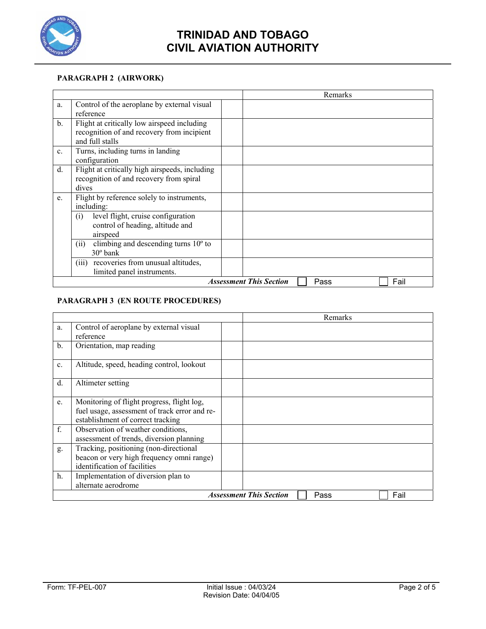

### **PARAGRAPH 2 (AIRWORK)**

|                |                                                                                                              | Remarks                                        |
|----------------|--------------------------------------------------------------------------------------------------------------|------------------------------------------------|
| a.             | Control of the aeroplane by external visual<br>reference                                                     |                                                |
| $\mathbf{b}$ . | Flight at critically low airspeed including<br>recognition of and recovery from incipient<br>and full stalls |                                                |
| $\mathbf{c}$ . | Turns, including turns in landing<br>configuration                                                           |                                                |
| d.             | Flight at critically high airspeeds, including<br>recognition of and recovery from spiral<br>dives           |                                                |
| e.             | Flight by reference solely to instruments,<br>including:                                                     |                                                |
|                | level flight, cruise configuration<br>(i)<br>control of heading, altitude and<br>airspeed                    |                                                |
|                | climbing and descending turns $10^{\circ}$ to<br>(ii)<br>$30^{\circ}$ bank                                   |                                                |
|                | recoveries from unusual altitudes,<br>(iii)<br>limited panel instruments.                                    |                                                |
|                |                                                                                                              | <b>Assessment This Section</b><br>Fail<br>Pass |

### **PARAGRAPH 3 (EN ROUTE PROCEDURES)**

|                |                                                                                                                                  |  |  | Remarks |  |
|----------------|----------------------------------------------------------------------------------------------------------------------------------|--|--|---------|--|
| a.             | Control of aeroplane by external visual<br>reference                                                                             |  |  |         |  |
| $\mathbf{b}$ . | Orientation, map reading                                                                                                         |  |  |         |  |
| $\mathbf{c}$ . | Altitude, speed, heading control, lookout                                                                                        |  |  |         |  |
| d.             | Altimeter setting                                                                                                                |  |  |         |  |
| e.             | Monitoring of flight progress, flight log,<br>fuel usage, assessment of track error and re-<br>establishment of correct tracking |  |  |         |  |
| f.             | Observation of weather conditions,<br>assessment of trends, diversion planning                                                   |  |  |         |  |
| g.             | Tracking, positioning (non-directional<br>beacon or very high frequency omni range)<br>identification of facilities              |  |  |         |  |
| h.             | Implementation of diversion plan to<br>alternate aerodrome                                                                       |  |  |         |  |
|                | <b>Assessment This Section</b><br>Fail<br>Pass                                                                                   |  |  |         |  |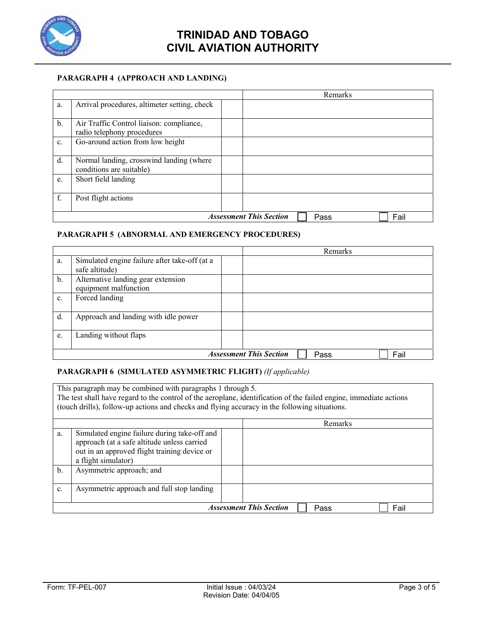

#### **PARAGRAPH 4 (APPROACH AND LANDING)**

|               |                                                                        |  |  | Remarks |  |
|---------------|------------------------------------------------------------------------|--|--|---------|--|
| a.            | Arrival procedures, altimeter setting, check                           |  |  |         |  |
| $\mathbf b$ . | Air Traffic Control liaison: compliance,<br>radio telephony procedures |  |  |         |  |
| c.            | Go-around action from low height                                       |  |  |         |  |
| d.            | Normal landing, crosswind landing (where<br>conditions are suitable)   |  |  |         |  |
| e.            | Short field landing                                                    |  |  |         |  |
| f.            | Post flight actions                                                    |  |  |         |  |
|               | <b>Assessment This Section</b><br>Fail<br>Pass                         |  |  |         |  |

### **PARAGRAPH 5 (ABNORMAL AND EMERGENCY PROCEDURES)**

|    |                                                                 |  |  | Remarks |  |
|----|-----------------------------------------------------------------|--|--|---------|--|
| a. | Simulated engine failure after take-off (at a<br>safe altitude) |  |  |         |  |
| b. | Alternative landing gear extension<br>equipment malfunction     |  |  |         |  |
| c. | Forced landing                                                  |  |  |         |  |
| d. | Approach and landing with idle power                            |  |  |         |  |
| e. | Landing without flaps                                           |  |  |         |  |
|    | <b>Assessment This Section</b><br>Fail<br>Pass                  |  |  |         |  |

#### **PARAGRAPH 6 (SIMULATED ASYMMETRIC FLIGHT)** *(If applicable)*

| This paragraph may be combined with paragraphs 1 through 5.<br>The test shall have regard to the control of the aeroplane, identification of the failed engine, immediate actions<br>(touch drills), follow-up actions and checks and flying accuracy in the following situations. |                                                                                                                                                                    |  |  |  |  |
|------------------------------------------------------------------------------------------------------------------------------------------------------------------------------------------------------------------------------------------------------------------------------------|--------------------------------------------------------------------------------------------------------------------------------------------------------------------|--|--|--|--|
|                                                                                                                                                                                                                                                                                    | Remarks                                                                                                                                                            |  |  |  |  |
| a.                                                                                                                                                                                                                                                                                 | Simulated engine failure during take-off and<br>approach (at a safe altitude unless carried<br>out in an approved flight training device or<br>a flight simulator) |  |  |  |  |
| $\mathbf b$ .                                                                                                                                                                                                                                                                      | Asymmetric approach; and                                                                                                                                           |  |  |  |  |
| c.                                                                                                                                                                                                                                                                                 | Asymmetric approach and full stop landing                                                                                                                          |  |  |  |  |
|                                                                                                                                                                                                                                                                                    | <b>Assessment This Section</b><br>Fail<br>Pass                                                                                                                     |  |  |  |  |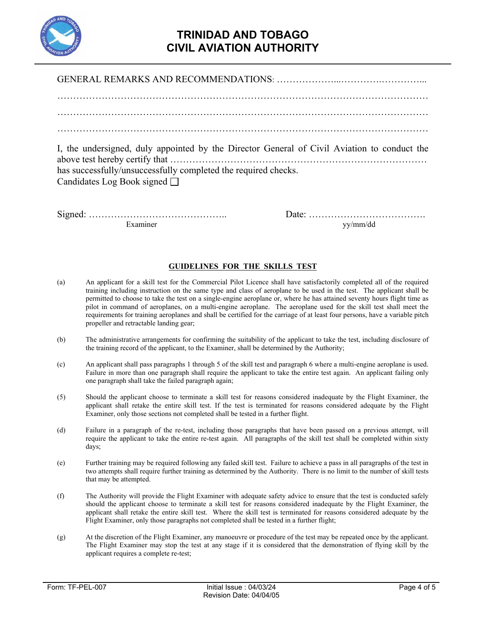

| I, the undersigned, duly appointed by the Director General of Civil Aviation to conduct the |
|---------------------------------------------------------------------------------------------|
| has successfully/unsuccessfully completed the required checks.                              |
| Candidates Log Book signed $\Box$                                                           |

Signed: …………………………………….. Date: ………………………………. Examiner yy/mm/dd

#### **GUIDELINES FOR THE SKILLS TEST**

- (a) An applicant for a skill test for the Commercial Pilot Licence shall have satisfactorily completed all of the required training including instruction on the same type and class of aeroplane to be used in the test. The applicant shall be permitted to choose to take the test on a single-engine aeroplane or, where he has attained seventy hours flight time as pilot in command of aeroplanes, on a multi-engine aeroplane. The aeroplane used for the skill test shall meet the requirements for training aeroplanes and shall be certified for the carriage of at least four persons, have a variable pitch propeller and retractable landing gear;
- (b) The administrative arrangements for confirming the suitability of the applicant to take the test, including disclosure of the training record of the applicant, to the Examiner, shall be determined by the Authority;
- (c) An applicant shall pass paragraphs 1 through 5 of the skill test and paragraph 6 where a multi-engine aeroplane is used. Failure in more than one paragraph shall require the applicant to take the entire test again. An applicant failing only one paragraph shall take the failed paragraph again;
- (5) Should the applicant choose to terminate a skill test for reasons considered inadequate by the Flight Examiner, the applicant shall retake the entire skill test. If the test is terminated for reasons considered adequate by the Flight Examiner, only those sections not completed shall be tested in a further flight.
- (d) Failure in a paragraph of the re-test, including those paragraphs that have been passed on a previous attempt, will require the applicant to take the entire re-test again. All paragraphs of the skill test shall be completed within sixty days;
- (e) Further training may be required following any failed skill test. Failure to achieve a pass in all paragraphs of the test in two attempts shall require further training as determined by the Authority. There is no limit to the number of skill tests that may be attempted.
- (f) The Authority will provide the Flight Examiner with adequate safety advice to ensure that the test is conducted safely should the applicant choose to terminate a skill test for reasons considered inadequate by the Flight Examiner, the applicant shall retake the entire skill test. Where the skill test is terminated for reasons considered adequate by the Flight Examiner, only those paragraphs not completed shall be tested in a further flight;
- (g) At the discretion of the Flight Examiner, any manoeuvre or procedure of the test may be repeated once by the applicant. The Flight Examiner may stop the test at any stage if it is considered that the demonstration of flying skill by the applicant requires a complete re-test;